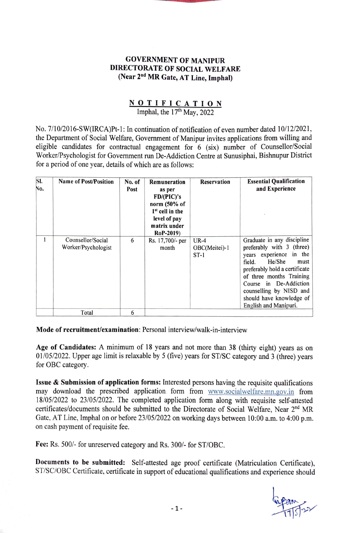## **GOVERNMENT OF MANIPUR DIRECTORATE OF SOCIAL WELFARE (Near 2nd MR Gate, AT Line, Imphal)**

## **NOTIFICATION**

Imphal, the 17<sup>th</sup> May, 2022

No. 7/10/2016-SW(IRCA)Pt-1: In continuation of notification of even number dated 10/12/2021, the Department of Social Welfare, Government of Manipur invites applications from willing and eligible candidates for contractual engagement for 6 (six) number of Counsellor/Social Worker/Psychologist for Government run De-Addiction Centre at Sunusiphai, Bishnupur District for a period of one year, details of which are as follows:

| SI.<br>No. | <b>Name of Post/Position</b>             | No. of<br>Post | Remuneration<br>as per<br>FD/(PIC)'s<br>norm (50% of<br>1 <sup>st</sup> cell in the<br>level of pay<br>matrix under<br><b>RoP-2019</b> ) | <b>Reservation</b>                | <b>Essential Qualification</b><br>and Experience                                                                                                                                                                                                                                        |
|------------|------------------------------------------|----------------|------------------------------------------------------------------------------------------------------------------------------------------|-----------------------------------|-----------------------------------------------------------------------------------------------------------------------------------------------------------------------------------------------------------------------------------------------------------------------------------------|
|            | Counsellor/Social<br>Worker/Psychologist | 6              | Rs. 17,700/- per<br>month                                                                                                                | $UR-4$<br>OBC(Meitei)-1<br>$ST-1$ | Graduate in any discipline<br>preferably with $3$ (three)<br>years experience in the<br>He/She<br>field.<br>must<br>preferably hold a certificate<br>of three months Training<br>Course in De-Addiction<br>counselling by NISD and<br>should have knowledge of<br>English and Manipuri. |
|            | Total                                    | 6              |                                                                                                                                          |                                   |                                                                                                                                                                                                                                                                                         |

**Mode of recruitment/examination:** Personal interview/walk-in-interview

**Age of Candidates:** A minimum of 18 years and not more than 38 (thirty eight) years as on 01 /05/2022. Upper age limit is relaxable by 5 (five) years for ST/SC category and 3 (three) years for OBC category.

**Issue** & **Submission of application forms:** Interested persons having the requisite qualifications may download the prescribed application. fonn from www.socialwelfare.mn.gov.in from 18/05/2022 to 23/05/2022. The completed application fonn along with requisite self-attested certificates/documents should be submitted to the Directorate of Social Welfare, Near 2<sup>nd</sup> MR Gate, AT Line, Imphal on or before 23/05/2022 on working days between 10:00 a.m. to 4:00 p.m. on cash payment of requisite fee.

**Fee:** Rs. 500/- for unreserved category and Rs. 300/- for ST/OBC.

**Documents to be submitted:** Self-attested age proof certificate (Matriculation Certificate), ST/SC/OBC Certificate, certificate in support of educational qualifications and experience should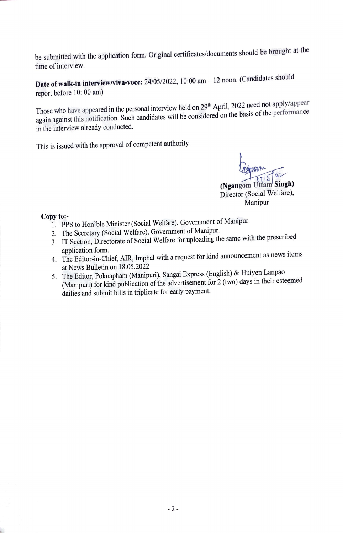be submitted with the application form. Original certificates/documents should be brought at the time of interview.

**Date of walk-in interview/viva-voce:** 24/05/2022, 10:00 am - 12 noon. (Candidates should report before 10: 00 am)

Those who have appeared in the personal interview held on 29<sup>th</sup> April, 2022 need not apply/appear again against this notification. Such candidates will be considered on the basis of the performance in the interview already conducted.

This is issued with the approval of competent authority.

**(Ngangom Uttam Singh)** Director (Social Welfare), Manipur

## **Copy to:-**

- 1. PPS to Hon'ble Minister (Social Welfare), Government of Manipur.
- 2. The Secretary (Social Welfare), Government of Manipur.
- 3. IT Section, Directorate of Social Welfare for uploading the same with the prescribed application form.
- 4. The Editor-in-Chief, AIR, Imphal with a request for kind announcement as news items at News Bulletin on 18.05.2022
- 5. The Editor, Poknapharn (Manipuri), Sangai Express (English) & Huiyen Lanpao (Manipuri) for kind publication of the advertisement for 2 (two) days in their esteemed dailies and submit bills in triplicate for early payment.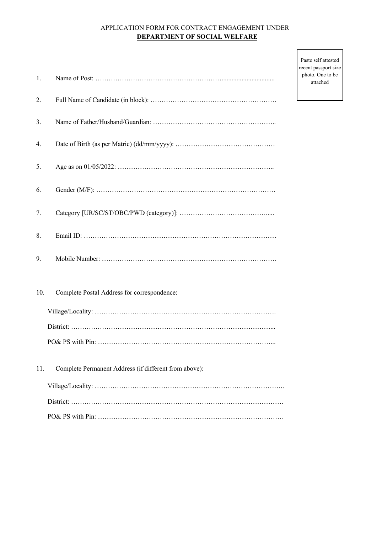## APPLICATION FORM FOR CONTRACT ENGAGEMENT UNDER  **DEPARTMENT OF SOCIAL WELFARE**

| 1.  |                                                       |
|-----|-------------------------------------------------------|
| 2.  |                                                       |
| 3.  |                                                       |
| 4.  |                                                       |
| 5.  |                                                       |
| 6.  |                                                       |
| 7.  |                                                       |
| 8.  |                                                       |
| 9.  |                                                       |
| 10. | Complete Postal Address for correspondence:           |
|     |                                                       |
|     |                                                       |
|     |                                                       |
| 11. | Complete Permanent Address (if different from above): |
|     |                                                       |
|     |                                                       |
|     |                                                       |

Paste self attested recent passport size photo. One to be attached